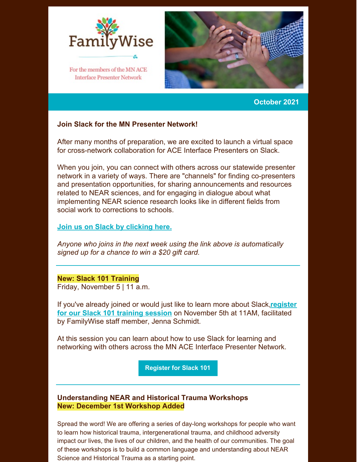

**Interface Presenter Network** 



**October 2021**

## **Join Slack for the MN Presenter Network!**

After many months of preparation, we are excited to launch a virtual space for cross-network collaboration for ACE Interface Presenters on Slack.

When you join, you can connect with others across our statewide presenter network in a variety of ways. There are "channels" for finding co-presenters and presentation opportunities, for sharing announcements and resources related to NEAR sciences, and for engaging in dialogue about what implementing NEAR science research looks like in different fields from social work to corrections to schools.

## **Join us on Slack by [clicking](https://join.slack.com/t/familywiseservices/shared_invite/zt-u9bp1opu-wMnH9pYJi5otgcKw0jeU1A) here.**

*Anyone who joins in the next week using the link above is automatically signed up for a chance to win a \$20 gift card.*

## **New: Slack 101 Training**

Friday, November 5 | 11 a.m.

If you've already joined or would just like to learn more about Slack,**register for our Slack 101 training session** on [November](https://us06web.zoom.us/meeting/register/tZUkdeuspj8sG9V7cZ5lc0VkoGvI-7JPHiBy) 5th at 11AM, facilitated by FamilyWise staff member, Jenna Schmidt.

At this session you can learn about how to use Slack for learning and networking with others across the MN ACE Interface Presenter Network.

**[Register](https://us06web.zoom.us/meeting/register/tZUkdeuspj8sG9V7cZ5lc0VkoGvI-7JPHiBy) for Slack 101**

## **Understanding NEAR and Historical Trauma Workshops New: December 1st Workshop Added**

Spread the word! We are offering a series of day-long workshops for people who want to learn how historical trauma, intergenerational trauma, and childhood adversity impact our lives, the lives of our children, and the health of our communities. The goal of these workshops is to build a common language and understanding about NEAR Science and Historical Trauma as a starting point.